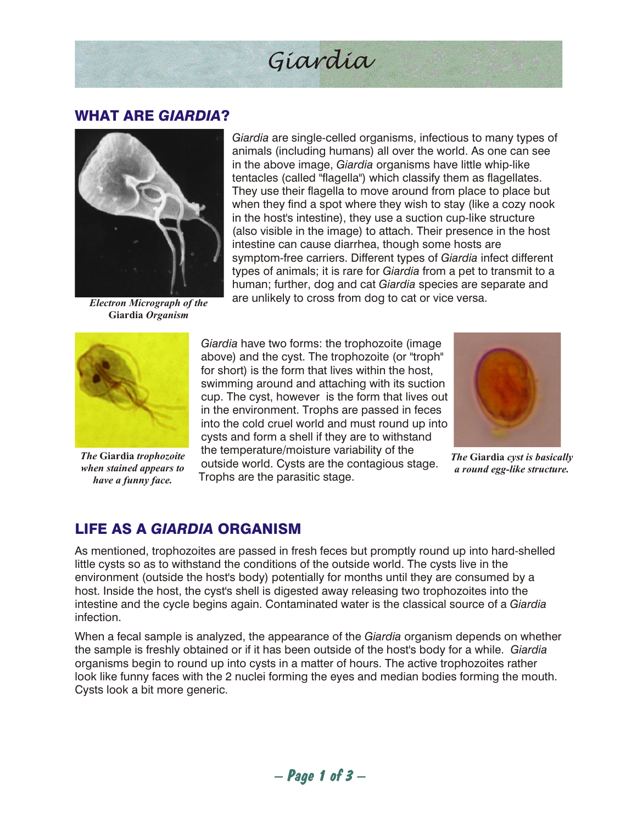# *Giardia*

#### WHAT ARE *GIARDIA*?



*Electron Micrograph of the* **Giardia** *Organism*

*Giardia* are single-celled organisms, infectious to many types of animals (including humans) all over the world. As one can see in the above image, *Giardia* organisms have little whip-like tentacles (called "flagella") which classify them as flagellates. They use their flagella to move around from place to place but when they find a spot where they wish to stay (like a cozy nook in the host's intestine), they use a suction cup-like structure (also visible in the image) to attach. Their presence in the host intestine can cause diarrhea, though some hosts are symptom-free carriers. Different types of *Giardia* infect different types of animals; it is rare for *Giardia* from a pet to transmit to a human; further, dog and cat *Giardia* species are separate and are unlikely to cross from dog to cat or vice versa.



*The* **Giardia** *trophozoite when stained appears to have a funny face.*

*Giardia* have two forms: the trophozoite (image above) and the cyst. The trophozoite (or "troph" for short) is the form that lives within the host, swimming around and attaching with its suction cup. The cyst, however is the form that lives out in the environment. Trophs are passed in feces into the cold cruel world and must round up into cysts and form a shell if they are to withstand the temperature/moisture variability of the outside world. Cysts are the contagious stage. Trophs are the parasitic stage.



*The* **Giardia** *cyst is basically a round egg-like structure.*

# LIFE AS A *GIARDIA* ORGANISM

As mentioned, trophozoites are passed in fresh feces but promptly round up into hard-shelled little cysts so as to withstand the conditions of the outside world. The cysts live in the environment (outside the host's body) potentially for months until they are consumed by a host. Inside the host, the cyst's shell is digested away releasing two trophozoites into the intestine and the cycle begins again. Contaminated water is the classical source of a *Giardia* infection.

When a fecal sample is analyzed, the appearance of the *Giardia* organism depends on whether the sample is freshly obtained or if it has been outside of the host's body for a while. *Giardia* organisms begin to round up into cysts in a matter of hours. The active trophozoites rather look like funny faces with the 2 nuclei forming the eyes and median bodies forming the mouth. Cysts look a bit more generic.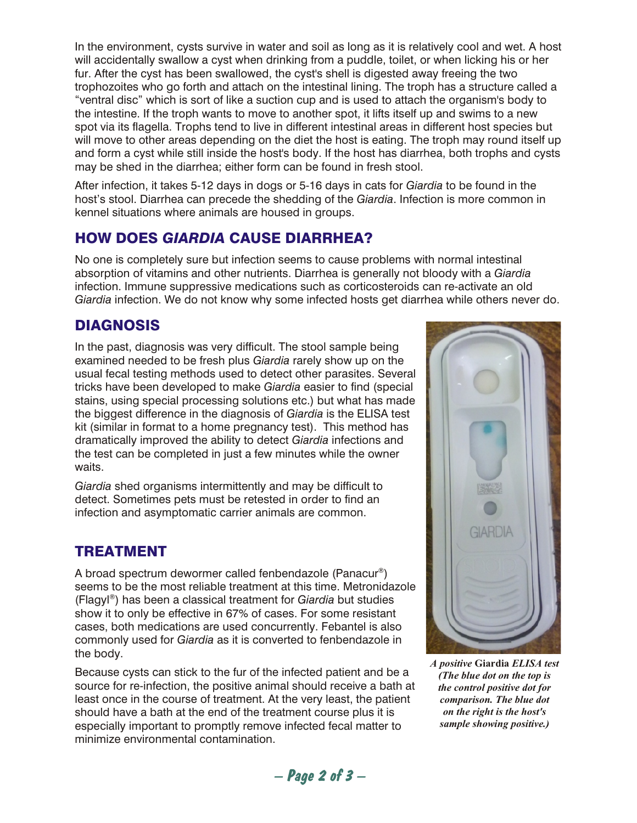In the environment, cysts survive in water and soil as long as it is relatively cool and wet. A host will accidentally swallow a cyst when drinking from a puddle, toilet, or when licking his or her fur. After the cyst has been swallowed, the cyst's shell is digested away freeing the two trophozoites who go forth and attach on the intestinal lining. The troph has a structure called a "ventral disc" which is sort of like a suction cup and is used to attach the organism's body to the intestine. If the troph wants to move to another spot, it lifts itself up and swims to a new spot via its flagella. Trophs tend to live in different intestinal areas in different host species but will move to other areas depending on the diet the host is eating. The troph may round itself up and form a cyst while still inside the host's body. If the host has diarrhea, both trophs and cysts may be shed in the diarrhea; either form can be found in fresh stool.

After infection, it takes 5-12 days in dogs or 5-16 days in cats for *Giardia* to be found in the host's stool. Diarrhea can precede the shedding of the *Giardia*. Infection is more common in kennel situations where animals are housed in groups.

### HOW DOES *GIARDIA* CAUSE DIARRHEA?

No one is completely sure but infection seems to cause problems with normal intestinal absorption of vitamins and other nutrients. Diarrhea is generally not bloody with a *Giardia* infection. Immune suppressive medications such as corticosteroids can re-activate an old *Giardia* infection. We do not know why some infected hosts get diarrhea while others never do.

### DIAGNOSIS

In the past, diagnosis was very difficult. The stool sample being examined needed to be fresh plus *Giardia* rarely show up on the usual fecal testing methods used to detect other parasites. Several tricks have been developed to make *Giardia* easier to find (special stains, using special processing solutions etc.) but what has made the biggest difference in the diagnosis of *Giardia* is the ELISA test kit (similar in format to a home pregnancy test). This method has dramatically improved the ability to detect *Giardia* infections and the test can be completed in just a few minutes while the owner waits.

*Giardia* shed organisms intermittently and may be difficult to detect. Sometimes pets must be retested in order to find an infection and asymptomatic carrier animals are common.

#### TREATMENT

A broad spectrum dewormer called fenbendazole (Panacur® ) seems to be the most reliable treatment at this time. Metronidazole (Flagyl® ) has been a classical treatment for *Giardia* but studies show it to only be effective in 67% of cases. For some resistant cases, both medications are used concurrently. Febantel is also commonly used for *Giardia* as it is converted to fenbendazole in the body.

Because cysts can stick to the fur of the infected patient and be a source for re-infection, the positive animal should receive a bath at least once in the course of treatment. At the very least, the patient should have a bath at the end of the treatment course plus it is especially important to promptly remove infected fecal matter to minimize environmental contamination.



*A positive* **Giardia** *ELISA test (The blue dot on the top is the control positive dot for comparison. The blue dot on the right is the host's sample showing positive.)*

 *– Page 2 of 3 –*